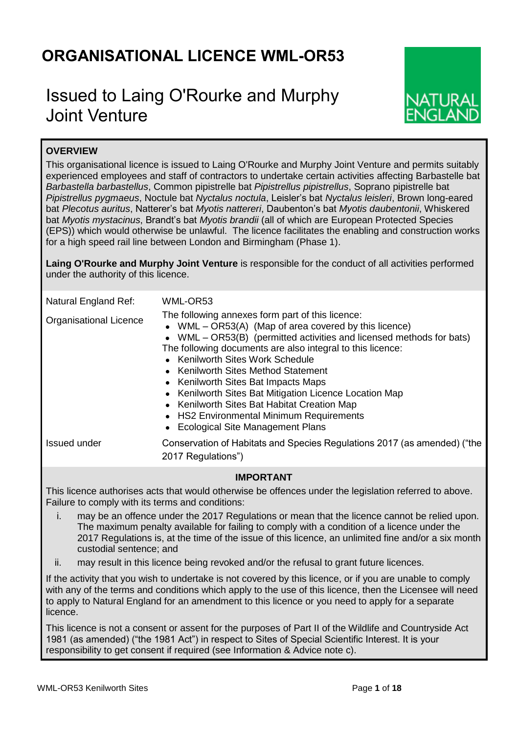# **ORGANISATIONAL LICENCE WML-OR53**

# Issued to Laing O'Rourke and Murphy Joint Venture



# **OVERVIEW**

This organisational licence is issued to Laing O'Rourke and Murphy Joint Venture and permits suitably experienced employees and staff of contractors to undertake certain activities affecting Barbastelle bat *Barbastella barbastellus*, Common pipistrelle bat *Pipistrellus pipistrellus*, Soprano pipistrelle bat *Pipistrellus pygmaeus*, Noctule bat *Nyctalus noctula*, Leisler's bat *Nyctalus leisleri*, Brown long-eared bat *Plecotus auritus*, Natterer's bat *Myotis nattereri*, Daubenton's bat *Myotis daubentonii*, Whiskered bat *Myotis mystacinus*, Brandt's bat *Myotis brandii* (all of which are European Protected Species (EPS)) which would otherwise be unlawful. The licence facilitates the enabling and construction works for a high speed rail line between London and Birmingham (Phase 1).

**Laing O'Rourke and Murphy Joint Venture** is responsible for the conduct of all activities performed under the authority of this licence.

| Natural England Ref:                                                                                                                                       | WML-OR53                                                                                                                                                                                                                                                                                                                                                                                                                                                                                                                                                       |  |  |  |  |
|------------------------------------------------------------------------------------------------------------------------------------------------------------|----------------------------------------------------------------------------------------------------------------------------------------------------------------------------------------------------------------------------------------------------------------------------------------------------------------------------------------------------------------------------------------------------------------------------------------------------------------------------------------------------------------------------------------------------------------|--|--|--|--|
| <b>Organisational Licence</b>                                                                                                                              | The following annexes form part of this licence:<br>• WML $-$ OR53(A) (Map of area covered by this licence)<br>• WML - OR53(B) (permitted activities and licensed methods for bats)<br>The following documents are also integral to this licence:<br>• Kenilworth Sites Work Schedule<br>• Kenilworth Sites Method Statement<br>• Kenilworth Sites Bat Impacts Maps<br>• Kenilworth Sites Bat Mitigation Licence Location Map<br>• Kenilworth Sites Bat Habitat Creation Map<br>• HS2 Environmental Minimum Requirements<br>• Ecological Site Management Plans |  |  |  |  |
| Issued under                                                                                                                                               | Conservation of Habitats and Species Regulations 2017 (as amended) ("the<br>2017 Regulations")                                                                                                                                                                                                                                                                                                                                                                                                                                                                 |  |  |  |  |
| <b>IMPORTANT</b>                                                                                                                                           |                                                                                                                                                                                                                                                                                                                                                                                                                                                                                                                                                                |  |  |  |  |
| This licence authorises acts that would otherwise be offences under the legislation referred to above.<br>Failure to comply with its terms and conditions: |                                                                                                                                                                                                                                                                                                                                                                                                                                                                                                                                                                |  |  |  |  |

- i. may be an offence under the 2017 Regulations or mean that the licence cannot be relied upon. The maximum penalty available for failing to comply with a condition of a licence under the 2017 Regulations is, at the time of the issue of this licence, an unlimited fine and/or a six month custodial sentence; and
- ii. may result in this licence being revoked and/or the refusal to grant future licences.

If the activity that you wish to undertake is not covered by this licence, or if you are unable to comply with any of the terms and conditions which apply to the use of this licence, then the Licensee will need to apply to Natural England for an amendment to this licence or you need to apply for a separate licence.

This licence is not a consent or assent for the purposes of Part II of the Wildlife and Countryside Act 1981 (as amended) ("the 1981 Act") in respect to Sites of Special Scientific Interest. It is your responsibility to get consent if required (see Information & Advice note c).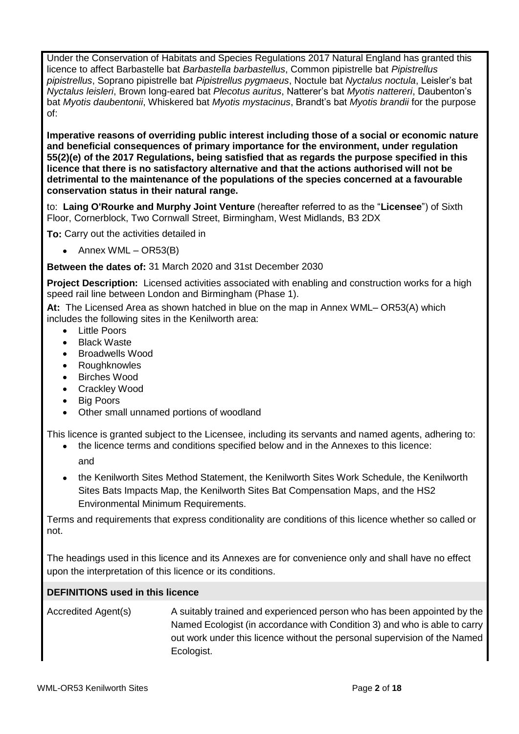Under the Conservation of Habitats and Species Regulations 2017 Natural England has granted this licence to affect Barbastelle bat *Barbastella barbastellus*, Common pipistrelle bat *Pipistrellus pipistrellus*, Soprano pipistrelle bat *Pipistrellus pygmaeus*, Noctule bat *Nyctalus noctula*, Leisler's bat *Nyctalus leisleri*, Brown long-eared bat *Plecotus auritus*, Natterer's bat *Myotis nattereri*, Daubenton's bat *Myotis daubentonii*, Whiskered bat *Myotis mystacinus*, Brandt's bat *Myotis brandii* for the purpose of:

**Imperative reasons of overriding public interest including those of a social or economic nature and beneficial consequences of primary importance for the environment, under regulation 55(2)(e) of the 2017 Regulations, being satisfied that as regards the purpose specified in this licence that there is no satisfactory alternative and that the actions authorised will not be detrimental to the maintenance of the populations of the species concerned at a favourable conservation status in their natural range.**

to: **Laing O'Rourke and Murphy Joint Venture** (hereafter referred to as the "**Licensee**") of Sixth Floor, Cornerblock, Two Cornwall Street, Birmingham, West Midlands, B3 2DX

**To:** Carry out the activities detailed in

 $\bullet$  Annex WML – OR53(B)

**Between the dates of:** 31 March 2020 and 31st December 2030

**Project Description:** Licensed activities associated with enabling and construction works for a high speed rail line between London and Birmingham (Phase 1).

**At:** The Licensed Area as shown hatched in blue on the map in Annex WML– OR53(A) which includes the following sites in the Kenilworth area:

- Little Poors
- Black Waste
- Broadwells Wood
- Roughknowles
- Birches Wood
- Crackley Wood
- Big Poors
- Other small unnamed portions of woodland

This licence is granted subject to the Licensee, including its servants and named agents, adhering to:

- the licence terms and conditions specified below and in the Annexes to this licence:
	- and
- the Kenilworth Sites Method Statement, the Kenilworth Sites Work Schedule, the Kenilworth Sites Bats Impacts Map, the Kenilworth Sites Bat Compensation Maps, and the HS2 Environmental Minimum Requirements.

Terms and requirements that express conditionality are conditions of this licence whether so called or not.

The headings used in this licence and its Annexes are for convenience only and shall have no effect upon the interpretation of this licence or its conditions.

# **DEFINITIONS used in this licence**

Accredited Agent(s) A suitably trained and experienced person who has been appointed by the Named Ecologist (in accordance with Condition 3) and who is able to carry out work under this licence without the personal supervision of the Named Ecologist.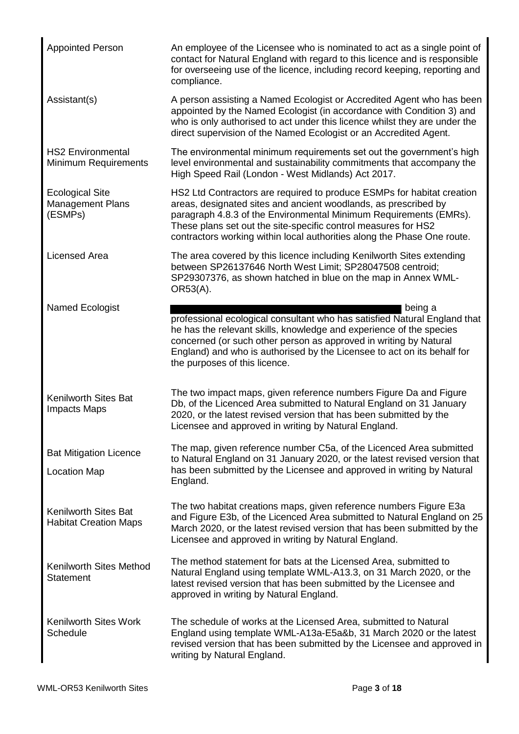| <b>Appointed Person</b>                                      | An employee of the Licensee who is nominated to act as a single point of<br>contact for Natural England with regard to this licence and is responsible<br>for overseeing use of the licence, including record keeping, reporting and<br>compliance.                                                                                                         |
|--------------------------------------------------------------|-------------------------------------------------------------------------------------------------------------------------------------------------------------------------------------------------------------------------------------------------------------------------------------------------------------------------------------------------------------|
| Assistant(s)                                                 | A person assisting a Named Ecologist or Accredited Agent who has been<br>appointed by the Named Ecologist (in accordance with Condition 3) and<br>who is only authorised to act under this licence whilst they are under the<br>direct supervision of the Named Ecologist or an Accredited Agent.                                                           |
| <b>HS2 Environmental</b><br><b>Minimum Requirements</b>      | The environmental minimum requirements set out the government's high<br>level environmental and sustainability commitments that accompany the<br>High Speed Rail (London - West Midlands) Act 2017.                                                                                                                                                         |
| <b>Ecological Site</b><br><b>Management Plans</b><br>(ESMPs) | HS2 Ltd Contractors are required to produce ESMPs for habitat creation<br>areas, designated sites and ancient woodlands, as prescribed by<br>paragraph 4.8.3 of the Environmental Minimum Requirements (EMRs).<br>These plans set out the site-specific control measures for HS2<br>contractors working within local authorities along the Phase One route. |
| <b>Licensed Area</b>                                         | The area covered by this licence including Kenilworth Sites extending<br>between SP26137646 North West Limit; SP28047508 centroid;<br>SP29307376, as shown hatched in blue on the map in Annex WML-<br>OR53(A).                                                                                                                                             |
| Named Ecologist                                              | being a<br>professional ecological consultant who has satisfied Natural England that<br>he has the relevant skills, knowledge and experience of the species<br>concerned (or such other person as approved in writing by Natural<br>England) and who is authorised by the Licensee to act on its behalf for<br>the purposes of this licence.                |
| <b>Kenilworth Sites Bat</b><br><b>Impacts Maps</b>           | The two impact maps, given reference numbers Figure Da and Figure<br>Db, of the Licenced Area submitted to Natural England on 31 January<br>2020, or the latest revised version that has been submitted by the<br>Licensee and approved in writing by Natural England.                                                                                      |
| <b>Bat Mitigation Licence</b><br><b>Location Map</b>         | The map, given reference number C5a, of the Licenced Area submitted<br>to Natural England on 31 January 2020, or the latest revised version that<br>has been submitted by the Licensee and approved in writing by Natural<br>England.                                                                                                                       |
| <b>Kenilworth Sites Bat</b><br><b>Habitat Creation Maps</b>  | The two habitat creations maps, given reference numbers Figure E3a<br>and Figure E3b, of the Licenced Area submitted to Natural England on 25<br>March 2020, or the latest revised version that has been submitted by the<br>Licensee and approved in writing by Natural England.                                                                           |
| Kenilworth Sites Method<br><b>Statement</b>                  | The method statement for bats at the Licensed Area, submitted to<br>Natural England using template WML-A13.3, on 31 March 2020, or the<br>latest revised version that has been submitted by the Licensee and<br>approved in writing by Natural England.                                                                                                     |
| <b>Kenilworth Sites Work</b><br>Schedule                     | The schedule of works at the Licensed Area, submitted to Natural<br>England using template WML-A13a-E5a&b, 31 March 2020 or the latest<br>revised version that has been submitted by the Licensee and approved in<br>writing by Natural England.                                                                                                            |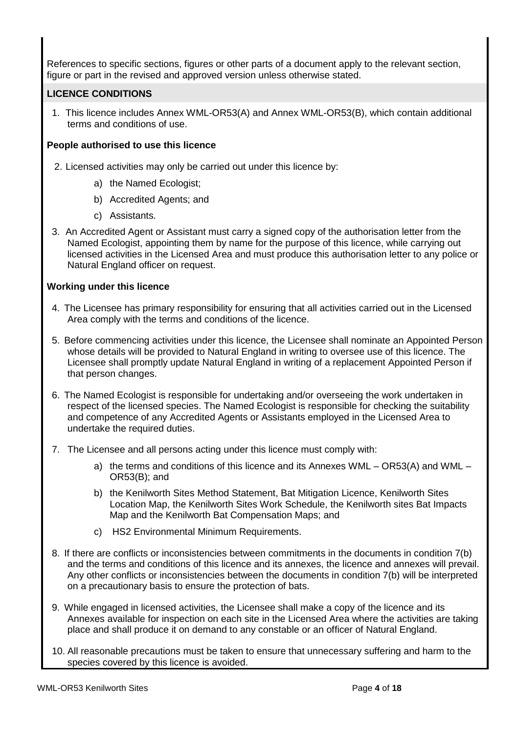References to specific sections, figures or other parts of a document apply to the relevant section, figure or part in the revised and approved version unless otherwise stated.

# **LICENCE CONDITIONS**

1. This licence includes Annex WML-OR53(A) and Annex WML-OR53(B), which contain additional terms and conditions of use.

# **People authorised to use this licence**

- 2. Licensed activities may only be carried out under this licence by:
	- a) the Named Ecologist;
	- b) Accredited Agents; and
	- c) Assistants.
- 3. An Accredited Agent or Assistant must carry a signed copy of the authorisation letter from the Named Ecologist, appointing them by name for the purpose of this licence, while carrying out licensed activities in the Licensed Area and must produce this authorisation letter to any police or Natural England officer on request.

# **Working under this licence**

- 4. The Licensee has primary responsibility for ensuring that all activities carried out in the Licensed Area comply with the terms and conditions of the licence.
- 5. Before commencing activities under this licence, the Licensee shall nominate an Appointed Person whose details will be provided to Natural England in writing to oversee use of this licence. The Licensee shall promptly update Natural England in writing of a replacement Appointed Person if that person changes.
- 6. The Named Ecologist is responsible for undertaking and/or overseeing the work undertaken in respect of the licensed species. The Named Ecologist is responsible for checking the suitability and competence of any Accredited Agents or Assistants employed in the Licensed Area to undertake the required duties.
- 7. The Licensee and all persons acting under this licence must comply with:
	- a) the terms and conditions of this licence and its Annexes WML OR53(A) and WML OR53(B); and
	- b) the Kenilworth Sites Method Statement, Bat Mitigation Licence, Kenilworth Sites Location Map, the Kenilworth Sites Work Schedule, the Kenilworth sites Bat Impacts Map and the Kenilworth Bat Compensation Maps; and
	- c) HS2 Environmental Minimum Requirements.
- 8. If there are conflicts or inconsistencies between commitments in the documents in condition 7(b) and the terms and conditions of this licence and its annexes, the licence and annexes will prevail. Any other conflicts or inconsistencies between the documents in condition 7(b) will be interpreted on a precautionary basis to ensure the protection of bats.
- 9. While engaged in licensed activities, the Licensee shall make a copy of the licence and its Annexes available for inspection on each site in the Licensed Area where the activities are taking place and shall produce it on demand to any constable or an officer of Natural England.
- 10. All reasonable precautions must be taken to ensure that unnecessary suffering and harm to the species covered by this licence is avoided.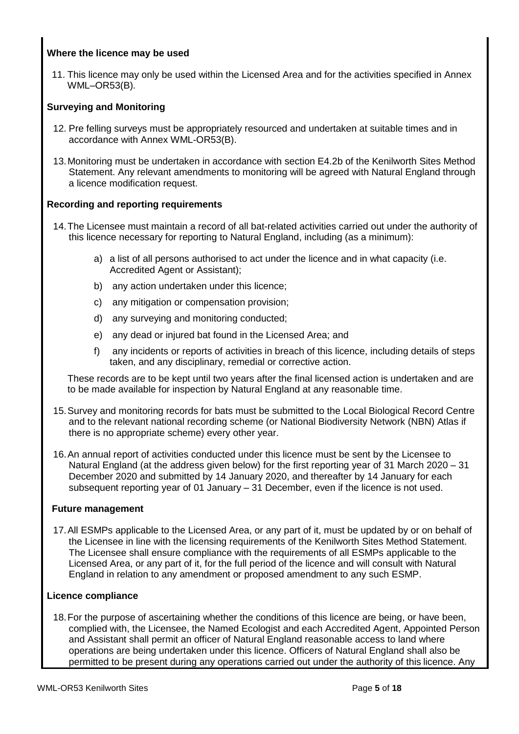# **Where the licence may be used**

11. This licence may only be used within the Licensed Area and for the activities specified in Annex WML–OR53(B).

# **Surveying and Monitoring**

- 12. Pre felling surveys must be appropriately resourced and undertaken at suitable times and in accordance with Annex WML-OR53(B).
- 13.Monitoring must be undertaken in accordance with section E4.2b of the Kenilworth Sites Method Statement. Any relevant amendments to monitoring will be agreed with Natural England through a licence modification request.

# **Recording and reporting requirements**

- 14.The Licensee must maintain a record of all bat-related activities carried out under the authority of this licence necessary for reporting to Natural England, including (as a minimum):
	- a) a list of all persons authorised to act under the licence and in what capacity (i.e. Accredited Agent or Assistant);
	- b) any action undertaken under this licence;
	- c) any mitigation or compensation provision;
	- d) any surveying and monitoring conducted;
	- e) any dead or injured bat found in the Licensed Area; and
	- f) any incidents or reports of activities in breach of this licence, including details of steps taken, and any disciplinary, remedial or corrective action.

These records are to be kept until two years after the final licensed action is undertaken and are to be made available for inspection by Natural England at any reasonable time.

- 15.Survey and monitoring records for bats must be submitted to the Local Biological Record Centre and to the relevant national recording scheme (or National Biodiversity Network (NBN) Atlas if there is no appropriate scheme) every other year.
- 16.An annual report of activities conducted under this licence must be sent by the Licensee to Natural England (at the address given below) for the first reporting year of 31 March 2020 – 31 December 2020 and submitted by 14 January 2020, and thereafter by 14 January for each subsequent reporting year of 01 January – 31 December, even if the licence is not used.

### **Future management**

17.All ESMPs applicable to the Licensed Area, or any part of it, must be updated by or on behalf of the Licensee in line with the licensing requirements of the Kenilworth Sites Method Statement. The Licensee shall ensure compliance with the requirements of all ESMPs applicable to the Licensed Area, or any part of it, for the full period of the licence and will consult with Natural England in relation to any amendment or proposed amendment to any such ESMP.

### **Licence compliance**

18.For the purpose of ascertaining whether the conditions of this licence are being, or have been, complied with, the Licensee, the Named Ecologist and each Accredited Agent, Appointed Person and Assistant shall permit an officer of Natural England reasonable access to land where operations are being undertaken under this licence. Officers of Natural England shall also be permitted to be present during any operations carried out under the authority of this licence. Any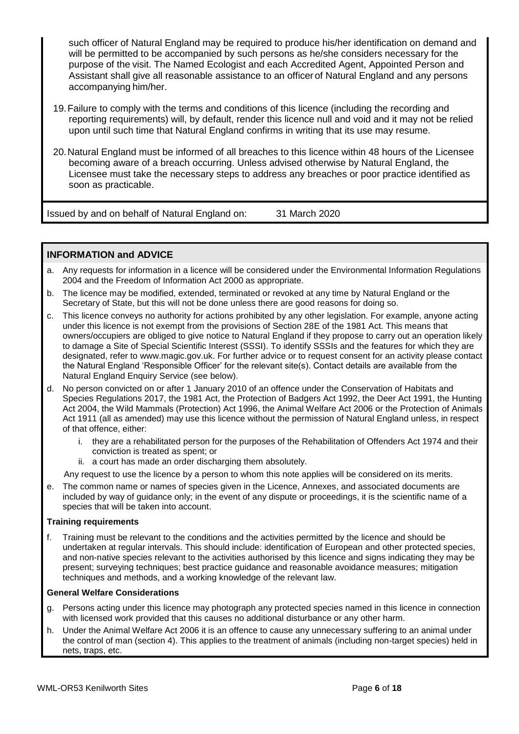such officer of Natural England may be required to produce his/her identification on demand and will be permitted to be accompanied by such persons as he/she considers necessary for the purpose of the visit. The Named Ecologist and each Accredited Agent, Appointed Person and Assistant shall give all reasonable assistance to an officer of Natural England and any persons accompanying him/her.

- 19.Failure to comply with the terms and conditions of this licence (including the recording and reporting requirements) will, by default, render this licence null and void and it may not be relied upon until such time that Natural England confirms in writing that its use may resume.
- 20.Natural England must be informed of all breaches to this licence within 48 hours of the Licensee becoming aware of a breach occurring. Unless advised otherwise by Natural England, the Licensee must take the necessary steps to address any breaches or poor practice identified as soon as practicable.

Issued by and on behalf of Natural England on: 31 March 2020

# **INFORMATION and ADVICE**

- a. Any requests for information in a licence will be considered under the Environmental Information Regulations 2004 and the Freedom of Information Act 2000 as appropriate.
- b. The licence may be modified, extended, terminated or revoked at any time by Natural England or the Secretary of State, but this will not be done unless there are good reasons for doing so.
- c. This licence conveys no authority for actions prohibited by any other legislation. For example, anyone acting under this licence is not exempt from the provisions of Section 28E of the 1981 Act. This means that owners/occupiers are obliged to give notice to Natural England if they propose to carry out an operation likely to damage a Site of Special Scientific Interest (SSSI). To identify SSSIs and the features for which they are designated, refer to www.magic.gov.uk. For further advice or to request consent for an activity please contact the Natural England 'Responsible Officer' for the relevant site(s). Contact details are available from the Natural England Enquiry Service (see below).
- d. No person convicted on or after 1 January 2010 of an offence under the Conservation of Habitats and Species Regulations 2017, the 1981 Act, the Protection of Badgers Act 1992, the Deer Act 1991, the Hunting Act 2004, the Wild Mammals (Protection) Act 1996, the Animal Welfare Act 2006 or the Protection of Animals Act 1911 (all as amended) may use this licence without the permission of Natural England unless, in respect of that offence, either:
	- i. they are a rehabilitated person for the purposes of the Rehabilitation of Offenders Act 1974 and their conviction is treated as spent; or
	- ii. a court has made an order discharging them absolutely.

Any request to use the licence by a person to whom this note applies will be considered on its merits.

e. The common name or names of species given in the Licence, Annexes, and associated documents are included by way of guidance only; in the event of any dispute or proceedings, it is the scientific name of a species that will be taken into account.

#### **Training requirements**

f. Training must be relevant to the conditions and the activities permitted by the licence and should be undertaken at regular intervals. This should include: identification of European and other protected species, and non-native species relevant to the activities authorised by this licence and signs indicating they may be present; surveying techniques; best practice guidance and reasonable avoidance measures; mitigation techniques and methods, and a working knowledge of the relevant law.

#### **General Welfare Considerations**

- g. Persons acting under this licence may photograph any protected species named in this licence in connection with licensed work provided that this causes no additional disturbance or any other harm.
- h. Under the Animal Welfare Act 2006 it is an offence to cause any unnecessary suffering to an animal under the control of man (section 4). This applies to the treatment of animals (including non-target species) held in nets, traps, etc.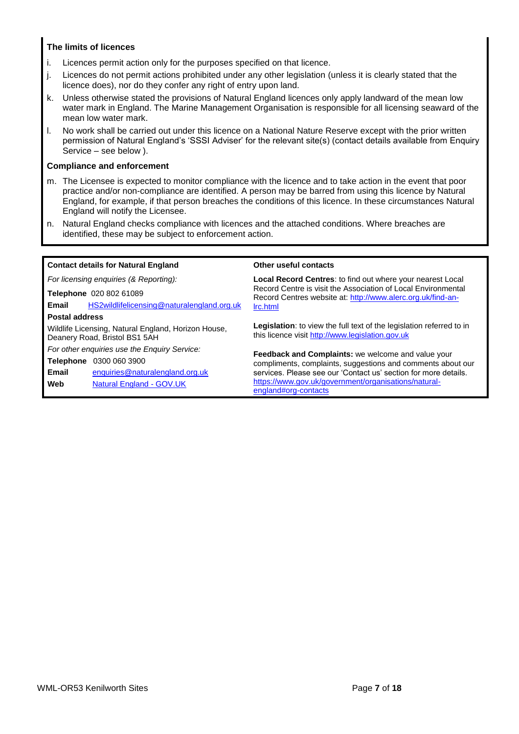### **The limits of licences**

- i. Licences permit action only for the purposes specified on that licence.
- j. Licences do not permit actions prohibited under any other legislation (unless it is clearly stated that the licence does), nor do they confer any right of entry upon land.
- k. Unless otherwise stated the provisions of Natural England licences only apply landward of the mean low water mark in England. The Marine Management Organisation is responsible for all licensing seaward of the mean low water mark.
- l. No work shall be carried out under this licence on a National Nature Reserve except with the prior written permission of Natural England's 'SSSI Adviser' for the relevant site(s) (contact details available from Enquiry Service – see below ).

#### **Compliance and enforcement**

- m. The Licensee is expected to monitor compliance with the licence and to take action in the event that poor practice and/or non-compliance are identified. A person may be barred from using this licence by Natural England, for example, if that person breaches the conditions of this licence. In these circumstances Natural England will notify the Licensee.
- n. Natural England checks compliance with licences and the attached conditions. Where breaches are identified, these may be subject to enforcement action.

|                       | <b>Contact details for Natural England</b>                                           | Other useful contacts                                                                                                        |  |  |  |
|-----------------------|--------------------------------------------------------------------------------------|------------------------------------------------------------------------------------------------------------------------------|--|--|--|
|                       | For licensing enquiries (& Reporting):                                               | <b>Local Record Centres:</b> to find out where your nearest Local                                                            |  |  |  |
|                       | Telephone 020 802 61089                                                              | Record Centre is visit the Association of Local Environmental<br>Record Centres website at: http://www.alerc.org.uk/find-an- |  |  |  |
| Email                 | HS2wildlifelicensing@naturalengland.org.uk                                           | Irc.html                                                                                                                     |  |  |  |
| <b>Postal address</b> |                                                                                      |                                                                                                                              |  |  |  |
|                       | Wildlife Licensing, Natural England, Horizon House,<br>Deanery Road, Bristol BS1 5AH | Legislation: to view the full text of the legislation referred to in<br>this licence visit http://www.legislation.gov.uk     |  |  |  |
|                       | For other enquiries use the Enquiry Service:                                         | <b>Feedback and Complaints:</b> we welcome and value your                                                                    |  |  |  |
|                       | <b>Telephone</b> 0300 060 3900                                                       | compliments, complaints, suggestions and comments about our                                                                  |  |  |  |
| Email                 | enquiries@naturalengland.org.uk                                                      | services. Please see our 'Contact us' section for more details.                                                              |  |  |  |
| Web                   | Natural England - GOV.UK                                                             | https://www.gov.uk/government/organisations/natural-<br>england#org-contacts                                                 |  |  |  |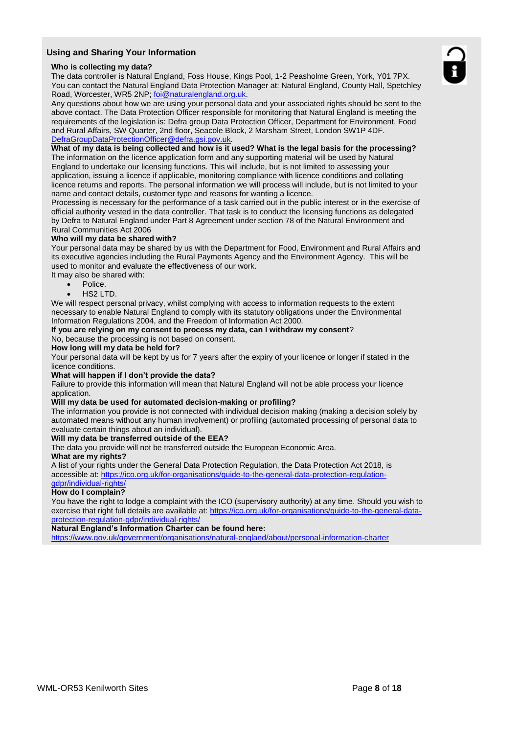#### **Using and Sharing Your Information**

#### **Who is collecting my data?**

The data controller is Natural England, Foss House, Kings Pool, 1-2 Peasholme Green, York, Y01 7PX. You can contact the Natural England Data Protection Manager at: Natural England, County Hall, Spetchley Road, Worcester, WR5 2NP; foi@naturalengland.org.uk.

Any questions about how we are using your personal data and your associated rights should be sent to the above contact. The Data Protection Officer responsible for monitoring that Natural England is meeting the requirements of the legislation is: Defra group Data Protection Officer, Department for Environment, Food and Rural Affairs, SW Quarter, 2nd floor, Seacole Block, 2 Marsham Street, London SW1P 4DF. DefraGroupDataProtectionOfficer@defra.gsi.gov.uk.

#### **What of my data is being collected and how is it used? What is the legal basis for the processing?**

The information on the licence application form and any supporting material will be used by Natural England to undertake our licensing functions. This will include, but is not limited to assessing your application, issuing a licence if applicable, monitoring compliance with licence conditions and collating licence returns and reports. The personal information we will process will include, but is not limited to your name and contact details, customer type and reasons for wanting a licence.

Processing is necessary for the performance of a task carried out in the public interest or in the exercise of official authority vested in the data controller. That task is to conduct the licensing functions as delegated by Defra to Natural England under Part 8 Agreement under section 78 of the Natural Environment and Rural Communities Act 2006

#### **Who will my data be shared with?**

Your personal data may be shared by us with the Department for Food, Environment and Rural Affairs and its executive agencies including the Rural Payments Agency and the Environment Agency. This will be used to monitor and evaluate the effectiveness of our work.

It may also be shared with:

- Police.
- HS2 LTD.

We will respect personal privacy, whilst complying with access to information requests to the extent necessary to enable Natural England to comply with its statutory obligations under the Environmental Information Regulations 2004, and the Freedom of Information Act 2000.

#### **If you are relying on my consent to process my data, can I withdraw my consent**?

No, because the processing is not based on consent.

#### **How long will my data be held for?**

Your personal data will be kept by us for 7 years after the expiry of your licence or longer if stated in the licence conditions.

#### **What will happen if I don't provide the data?**

Failure to provide this information will mean that Natural England will not be able process your licence application.

#### **Will my data be used for automated decision-making or profiling?**

The information you provide is not connected with individual decision making (making a decision solely by automated means without any human involvement) or profiling (automated processing of personal data to evaluate certain things about an individual).

#### **Will my data be transferred outside of the EEA?**

The data you provide will not be transferred outside the European Economic Area.

#### **What are my rights?**

A list of your rights under the General Data Protection Regulation, the Data Protection Act 2018, is accessible at: https://ico.org.uk/for-organisations/guide-to-the-general-data-protection-regulationgdpr/individual-rights/

#### **How do I complain?**

You have the right to lodge a complaint with the ICO (supervisory authority) at any time. Should you wish to exercise that right full details are available at: https://ico.org.uk/for-organisations/guide-to-the-general-dataprotection-regulation-gdpr/individual-rights/

#### **Natural England's Information Charter can be found here:**

https://www.gov.uk/government/organisations/natural-england/about/personal-information-charter

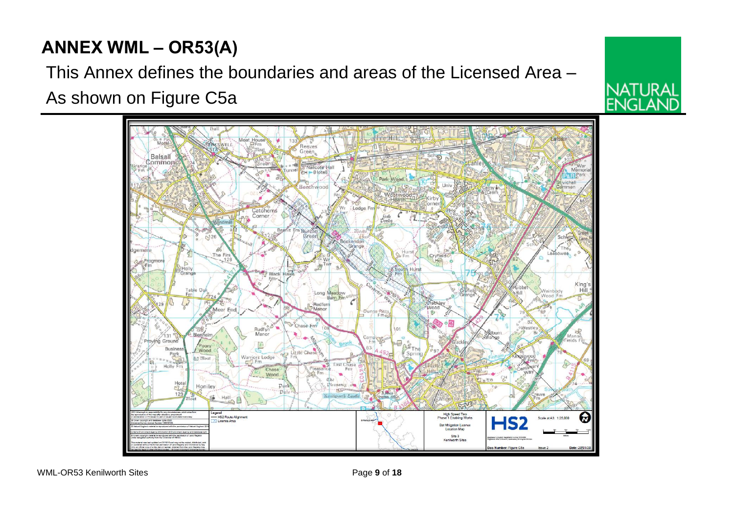# **ANNEX WML – OR53(A)**

This Annex defines the boundaries and areas of the Licensed Area – As shown on Figure C5a



**NATURAL** 

**ENGLA**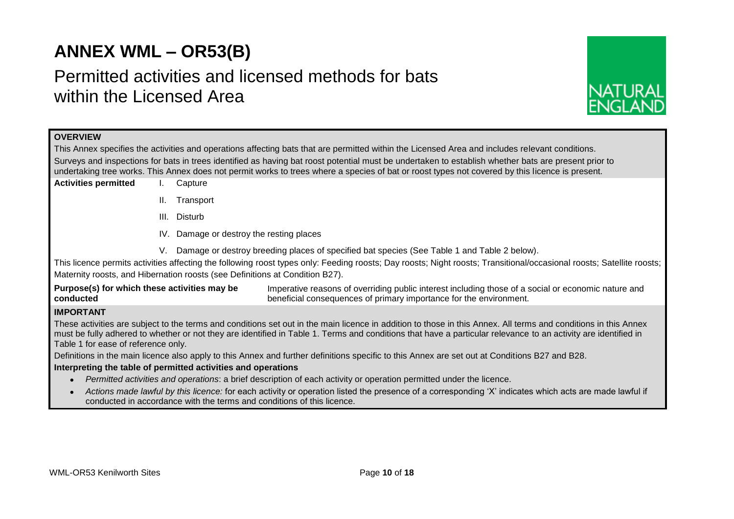# **ANNEX WML – OR53(B)**

# Permitted activities and licensed methods for bats within the Licensed Area



# **OVERVIEW**

This Annex specifies the activities and operations affecting bats that are permitted within the Licensed Area and includes relevant conditions. Surveys and inspections for bats in trees identified as having bat roost potential must be undertaken to establish whether bats are present prior to undertaking tree works. This Annex does not permit works to trees where a species of bat or roost types not covered by this licence is present.

- **Activities permitted** I. Capture
	- II. Transport
	- III. Disturb
	- IV. Damage or destroy the resting places
	- V. Damage or destroy breeding places of specified bat species (See Table 1 and Table 2 below).

This licence permits activities affecting the following roost types only: Feeding roosts; Day roosts; Night roosts; Transitional/occasional roosts; Satellite roosts; Maternity roosts, and Hibernation roosts (see Definitions at Condition B27).

**Purpose(s) for which these activities may be conducted** Imperative reasons of overriding public interest including those of a social or economic nature and beneficial consequences of primary importance for the environment.

# **IMPORTANT**

These activities are subject to the terms and conditions set out in the main licence in addition to those in this Annex. All terms and conditions in this Annex must be fully adhered to whether or not they are identified in Table 1. Terms and conditions that have a particular relevance to an activity are identified in Table 1 for ease of reference only.

Definitions in the main licence also apply to this Annex and further definitions specific to this Annex are set out at Conditions B27 and B28.

#### **Interpreting the table of permitted activities and operations**

- *Permitted activities and operations*: a brief description of each activity or operation permitted under the licence.
- *Actions made lawful by this licence:* for each activity or operation listed the presence of a corresponding 'X' indicates which acts are made lawful if conducted in accordance with the terms and conditions of this licence.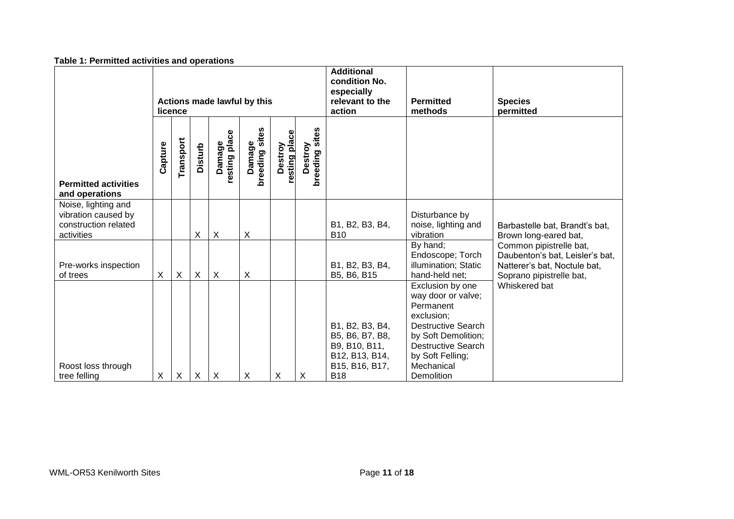| Table 1. Fermitted activities and operations                                     |                                        |           |                |                           |                          |                          |                           |                                                                                                       |                                                                                                                                                                                                    |                                                                                                                        |
|----------------------------------------------------------------------------------|----------------------------------------|-----------|----------------|---------------------------|--------------------------|--------------------------|---------------------------|-------------------------------------------------------------------------------------------------------|----------------------------------------------------------------------------------------------------------------------------------------------------------------------------------------------------|------------------------------------------------------------------------------------------------------------------------|
|                                                                                  | Actions made lawful by this<br>licence |           |                |                           |                          |                          |                           | <b>Additional</b><br>condition No.<br>especially<br>relevant to the<br>action                         | <b>Permitted</b><br>methods                                                                                                                                                                        | <b>Species</b><br>permitted                                                                                            |
| <b>Permitted activities</b><br>and operations                                    | Capture                                | Transport | <b>Disturb</b> | resting place<br>Damage   | Damage<br>breeding sites | resting place<br>Destroy | Destroy<br>breeding sites |                                                                                                       |                                                                                                                                                                                                    |                                                                                                                        |
| Noise, lighting and<br>vibration caused by<br>construction related<br>activities |                                        |           | X              | $\boldsymbol{\mathsf{X}}$ | X                        |                          |                           | B1, B2, B3, B4,<br><b>B10</b>                                                                         | Disturbance by<br>noise, lighting and<br>vibration                                                                                                                                                 | Barbastelle bat, Brandt's bat,<br>Brown long-eared bat,                                                                |
| Pre-works inspection<br>of trees                                                 | X                                      | X         | X              | $\sf X$                   | X                        |                          |                           | B1, B2, B3, B4,<br>B5, B6, B15                                                                        | By hand;<br>Endoscope; Torch<br>illumination; Static<br>hand-held net;                                                                                                                             | Common pipistrelle bat,<br>Daubenton's bat, Leisler's bat,<br>Natterer's bat, Noctule bat,<br>Soprano pipistrelle bat, |
| Roost loss through<br>tree felling                                               | X                                      | X         | X              | $\boldsymbol{\mathsf{X}}$ | X                        | X                        | $\times$                  | B1, B2, B3, B4,<br>B5, B6, B7, B8,<br>B9, B10, B11,<br>B12, B13, B14,<br>B15, B16, B17,<br><b>B18</b> | Exclusion by one<br>way door or valve;<br>Permanent<br>exclusion;<br><b>Destructive Search</b><br>by Soft Demolition;<br><b>Destructive Search</b><br>by Soft Felling;<br>Mechanical<br>Demolition | Whiskered bat                                                                                                          |

# **Table 1: Permitted activities and operations**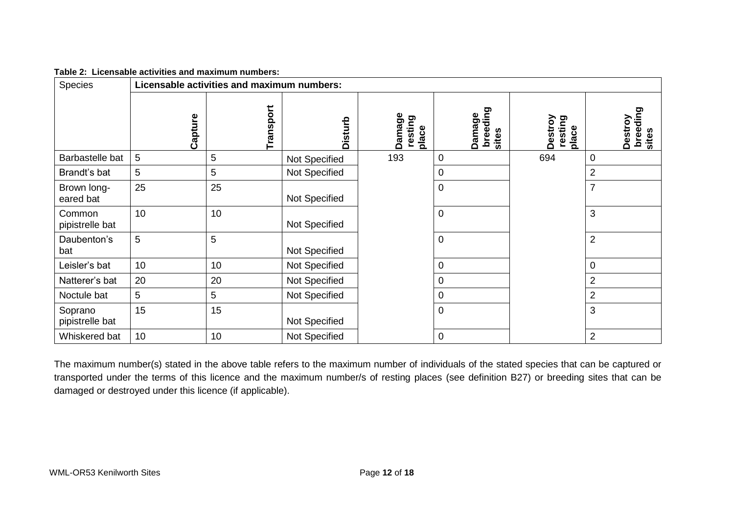| Table 2: Licensable activities and maximum numbers: |  |
|-----------------------------------------------------|--|
|                                                     |  |

| <b>Species</b>             | Licensable activities and maximum numbers: |           |                |                            |                             |                             |                              |
|----------------------------|--------------------------------------------|-----------|----------------|----------------------------|-----------------------------|-----------------------------|------------------------------|
|                            | Capture                                    | Transport | <b>Disturb</b> | Damage<br>resting<br>place | breeding<br>sites<br>Damage | Destroy<br>resting<br>place | breeding<br>Destroy<br>sites |
| Barbastelle bat            | 5                                          | 5         | Not Specified  | 193                        | $\mathbf 0$                 | 694                         | $\mathbf 0$                  |
| Brandt's bat               | 5                                          | 5         | Not Specified  |                            | $\overline{0}$              |                             | $\overline{2}$               |
| Brown long-<br>eared bat   | 25                                         | 25        | Not Specified  |                            | $\mathbf 0$                 |                             | $\overline{7}$               |
| Common<br>pipistrelle bat  | 10                                         | 10        | Not Specified  |                            | $\mathbf 0$                 |                             | 3                            |
| Daubenton's<br>bat         | $\overline{5}$                             | 5         | Not Specified  |                            | $\boldsymbol{0}$            |                             | $\overline{2}$               |
| Leisler's bat              | 10                                         | 10        | Not Specified  |                            | $\mathbf 0$                 |                             | $\boldsymbol{0}$             |
| Natterer's bat             | 20                                         | 20        | Not Specified  |                            | $\overline{0}$              |                             | $\overline{\mathbf{c}}$      |
| Noctule bat                | 5                                          | 5         | Not Specified  |                            | $\overline{0}$              |                             | $\overline{2}$               |
| Soprano<br>pipistrelle bat | 15                                         | 15        | Not Specified  |                            | $\mathbf 0$                 |                             | 3                            |
| Whiskered bat              | 10                                         | 10        | Not Specified  |                            | $\mathbf 0$                 |                             | $\overline{2}$               |

The maximum number(s) stated in the above table refers to the maximum number of individuals of the stated species that can be captured or transported under the terms of this licence and the maximum number/s of resting places (see definition B27) or breeding sites that can be damaged or destroyed under this licence (if applicable).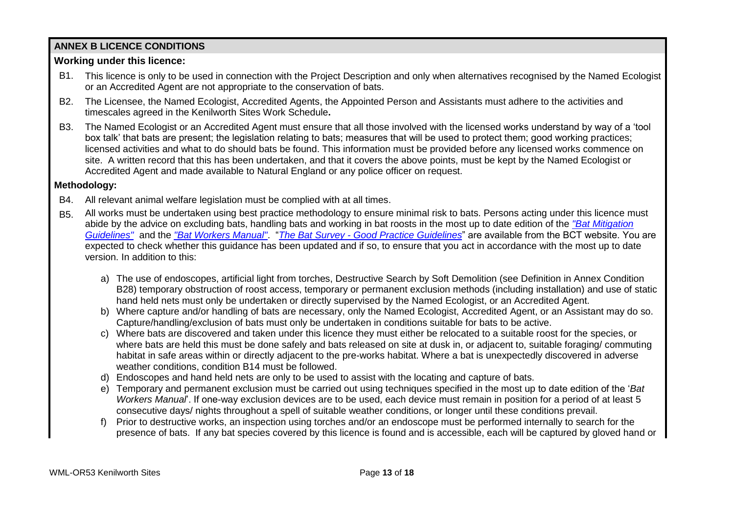# **ANNEX B LICENCE CONDITIONS**

# **Working under this licence:**

- B1. This licence is only to be used in connection with the Project Description and only when alternatives recognised by the Named Ecologist or an Accredited Agent are not appropriate to the conservation of bats.
- B2. The Licensee, the Named Ecologist, Accredited Agents, the Appointed Person and Assistants must adhere to the activities and timescales agreed in the Kenilworth Sites Work Schedule**.**
- B3. The Named Ecologist or an Accredited Agent must ensure that all those involved with the licensed works understand by way of a 'tool box talk' that bats are present; the legislation relating to bats; measures that will be used to protect them; good working practices; licensed activities and what to do should bats be found. This information must be provided before any licensed works commence on site. A written record that this has been undertaken, and that it covers the above points, must be kept by the Named Ecologist or Accredited Agent and made available to Natural England or any police officer on request.

# **Methodology:**

- B4. All relevant animal welfare legislation must be complied with at all times.
- B5. All works must be undertaken using best practice methodology to ensure minimal risk to bats. Persons acting under this licence must abide by the advice on excluding bats, handling bats and working in bat roosts in the most up to date edition of the *"Bat Mitigation Guidelines"* and the *"Bat Workers Manual"*. "*The Bat Survey - Good Practice Guidelines*" are available from the BCT website. You are expected to check whether this guidance has been updated and if so, to ensure that you act in accordance with the most up to date version. In addition to this:
	- a) The use of endoscopes, artificial light from torches, Destructive Search by Soft Demolition (see Definition in Annex Condition B28) temporary obstruction of roost access, temporary or permanent exclusion methods (including installation) and use of static hand held nets must only be undertaken or directly supervised by the Named Ecologist, or an Accredited Agent.
	- b) Where capture and/or handling of bats are necessary, only the Named Ecologist, Accredited Agent, or an Assistant may do so. Capture/handling/exclusion of bats must only be undertaken in conditions suitable for bats to be active.
	- c) Where bats are discovered and taken under this licence they must either be relocated to a suitable roost for the species, or where bats are held this must be done safely and bats released on site at dusk in, or adjacent to, suitable foraging/ commuting habitat in safe areas within or directly adjacent to the pre-works habitat. Where a bat is unexpectedly discovered in adverse weather conditions, condition B14 must be followed.
	- d) Endoscopes and hand held nets are only to be used to assist with the locating and capture of bats.
	- e) Temporary and permanent exclusion must be carried out using techniques specified in the most up to date edition of the '*Bat Workers Manual*'. If one-way exclusion devices are to be used, each device must remain in position for a period of at least 5 consecutive days/ nights throughout a spell of suitable weather conditions, or longer until these conditions prevail.
	- f) Prior to destructive works, an inspection using torches and/or an endoscope must be performed internally to search for the presence of bats. If any bat species covered by this licence is found and is accessible, each will be captured by gloved hand or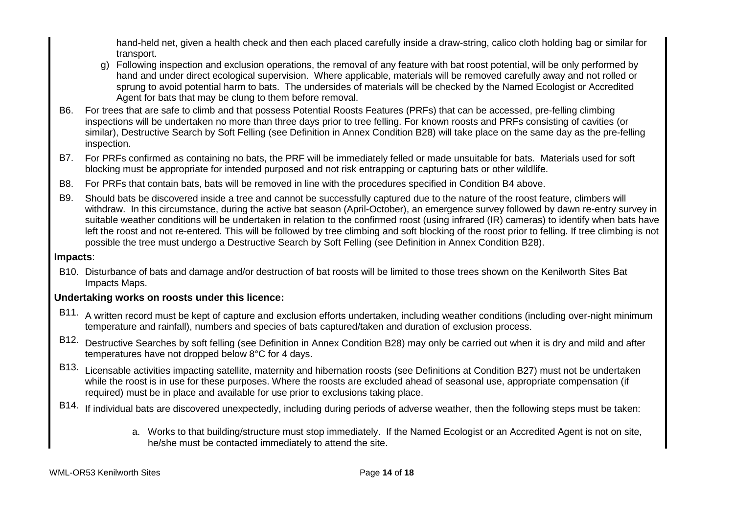hand-held net, given a health check and then each placed carefully inside a draw-string, calico cloth holding bag or similar for transport.

- g) Following inspection and exclusion operations, the removal of any feature with bat roost potential, will be only performed by hand and under direct ecological supervision. Where applicable, materials will be removed carefully away and not rolled or sprung to avoid potential harm to bats. The undersides of materials will be checked by the Named Ecologist or Accredited Agent for bats that may be clung to them before removal.
- B6. For trees that are safe to climb and that possess Potential Roosts Features (PRFs) that can be accessed, pre-felling climbing inspections will be undertaken no more than three days prior to tree felling. For known roosts and PRFs consisting of cavities (or similar), Destructive Search by Soft Felling (see Definition in Annex Condition B28) will take place on the same day as the pre-felling inspection.
- B7. For PRFs confirmed as containing no bats, the PRF will be immediately felled or made unsuitable for bats. Materials used for soft blocking must be appropriate for intended purposed and not risk entrapping or capturing bats or other wildlife.
- B8. For PRFs that contain bats, bats will be removed in line with the procedures specified in Condition B4 above.
- B9. Should bats be discovered inside a tree and cannot be successfully captured due to the nature of the roost feature, climbers will withdraw. In this circumstance, during the active bat season (April-October), an emergence survey followed by dawn re-entry survey in suitable weather conditions will be undertaken in relation to the confirmed roost (using infrared (IR) cameras) to identify when bats have left the roost and not re-entered. This will be followed by tree climbing and soft blocking of the roost prior to felling. If tree climbing is not possible the tree must undergo a Destructive Search by Soft Felling (see Definition in Annex Condition B28).

# **Impacts**:

B10. Disturbance of bats and damage and/or destruction of bat roosts will be limited to those trees shown on the Kenilworth Sites Bat Impacts Maps.

# **Undertaking works on roosts under this licence:**

- B11. A written record must be kept of capture and exclusion efforts undertaken, including weather conditions (including over-night minimum temperature and rainfall), numbers and species of bats captured/taken and duration of exclusion process.
- B12. Destructive Searches by soft felling (see Definition in Annex Condition B28) may only be carried out when it is dry and mild and after temperatures have not dropped below 8°C for 4 days.
- B13. Licensable activities impacting satellite, maternity and hibernation roosts (see Definitions at Condition B27) must not be undertaken while the roost is in use for these purposes. Where the roosts are excluded ahead of seasonal use, appropriate compensation (if required) must be in place and available for use prior to exclusions taking place.
- B14. If individual bats are discovered unexpectedly, including during periods of adverse weather, then the following steps must be taken:
	- a. Works to that building/structure must stop immediately. If the Named Ecologist or an Accredited Agent is not on site, he/she must be contacted immediately to attend the site.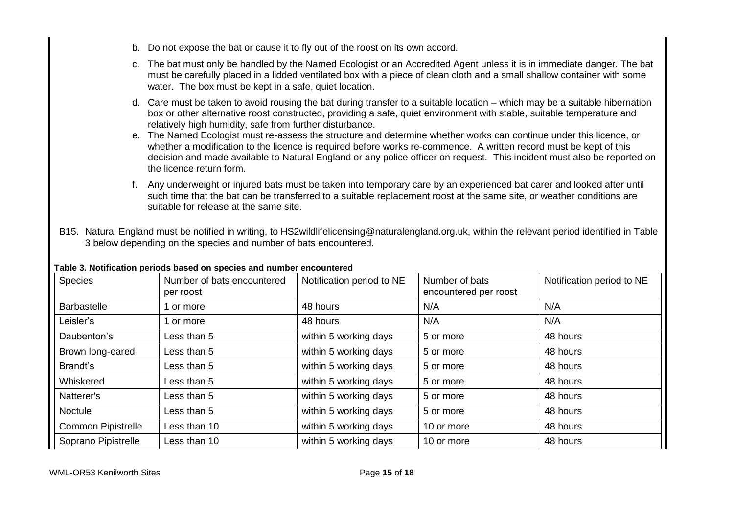- b. Do not expose the bat or cause it to fly out of the roost on its own accord.
- c. The bat must only be handled by the Named Ecologist or an Accredited Agent unless it is in immediate danger. The bat must be carefully placed in a lidded ventilated box with a piece of clean cloth and a small shallow container with some water. The box must be kept in a safe, quiet location.
- d. Care must be taken to avoid rousing the bat during transfer to a suitable location which may be a suitable hibernation box or other alternative roost constructed, providing a safe, quiet environment with stable, suitable temperature and relatively high humidity, safe from further disturbance.
- e. The Named Ecologist must re-assess the structure and determine whether works can continue under this licence, or whether a modification to the licence is required before works re-commence. A written record must be kept of this decision and made available to Natural England or any police officer on request. This incident must also be reported on the licence return form.
- f. Any underweight or injured bats must be taken into temporary care by an experienced bat carer and looked after until such time that the bat can be transferred to a suitable replacement roost at the same site, or weather conditions are suitable for release at the same site.
- B15. Natural England must be notified in writing, to HS2wildlifelicensing@naturalengland.org.uk, within the relevant period identified in Table 3 below depending on the species and number of bats encountered.

| Species                   | Number of bats encountered<br>per roost | Notification period to NE | Number of bats<br>encountered per roost | Notification period to NE |
|---------------------------|-----------------------------------------|---------------------------|-----------------------------------------|---------------------------|
| <b>Barbastelle</b>        | 1 or more                               | 48 hours                  | N/A                                     | N/A                       |
| Leisler's                 | 1 or more                               | 48 hours                  | N/A                                     | N/A                       |
| Daubenton's               | Less than 5                             | within 5 working days     | 5 or more                               | 48 hours                  |
| Brown long-eared          | Less than 5                             | within 5 working days     | 5 or more                               | 48 hours                  |
| Brandt's                  | Less than 5                             | within 5 working days     | 5 or more                               | 48 hours                  |
| Whiskered                 | Less than 5                             | within 5 working days     | 5 or more                               | 48 hours                  |
| Natterer's                | Less than 5                             | within 5 working days     | 5 or more                               | 48 hours                  |
| Noctule                   | Less than 5                             | within 5 working days     | 5 or more                               | 48 hours                  |
| <b>Common Pipistrelle</b> | Less than 10                            | within 5 working days     | 10 or more                              | 48 hours                  |
| Soprano Pipistrelle       | Less than 10                            | within 5 working days     | 10 or more                              | 48 hours                  |

# **Table 3. Notification periods based on species and number encountered**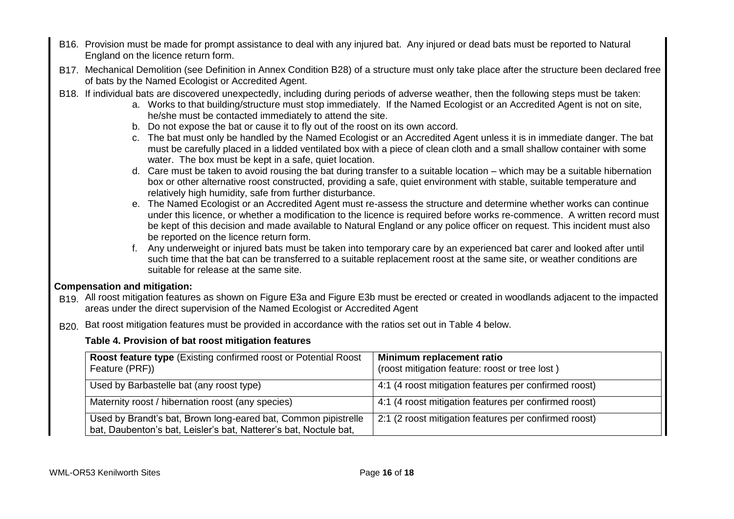- B16. Provision must be made for prompt assistance to deal with any injured bat. Any injured or dead bats must be reported to Natural England on the licence return form.
- B17. Mechanical Demolition (see Definition in Annex Condition B28) of a structure must only take place after the structure been declared free of bats by the Named Ecologist or Accredited Agent.
- B18. If individual bats are discovered unexpectedly, including during periods of adverse weather, then the following steps must be taken:
	- a. Works to that building/structure must stop immediately. If the Named Ecologist or an Accredited Agent is not on site, he/she must be contacted immediately to attend the site.
	- b. Do not expose the bat or cause it to fly out of the roost on its own accord.
	- c. The bat must only be handled by the Named Ecologist or an Accredited Agent unless it is in immediate danger. The bat must be carefully placed in a lidded ventilated box with a piece of clean cloth and a small shallow container with some water. The box must be kept in a safe, quiet location.
	- d. Care must be taken to avoid rousing the bat during transfer to a suitable location which may be a suitable hibernation box or other alternative roost constructed, providing a safe, quiet environment with stable, suitable temperature and relatively high humidity, safe from further disturbance.
	- e. The Named Ecologist or an Accredited Agent must re-assess the structure and determine whether works can continue under this licence, or whether a modification to the licence is required before works re-commence. A written record must be kept of this decision and made available to Natural England or any police officer on request. This incident must also be reported on the licence return form.
	- f. Any underweight or injured bats must be taken into temporary care by an experienced bat carer and looked after until such time that the bat can be transferred to a suitable replacement roost at the same site, or weather conditions are suitable for release at the same site.

# **Compensation and mitigation:**

- B19. All roost mitigation features as shown on Figure E3a and Figure E3b must be erected or created in woodlands adjacent to the impacted areas under the direct supervision of the Named Ecologist or Accredited Agent
- B<sub>20</sub>. Bat roost mitigation features must be provided in accordance with the ratios set out in Table 4 below.

# **Table 4. Provision of bat roost mitigation features**

| <b>Roost feature type (Existing confirmed roost or Potential Roost</b><br>Feature (PRF))                                            | Minimum replacement ratio<br>(roost mitigation feature: roost or tree lost) |
|-------------------------------------------------------------------------------------------------------------------------------------|-----------------------------------------------------------------------------|
| Used by Barbastelle bat (any roost type)                                                                                            | 4:1 (4 roost mitigation features per confirmed roost)                       |
| Maternity roost / hibernation roost (any species)                                                                                   | 4:1 (4 roost mitigation features per confirmed roost)                       |
| Used by Brandt's bat, Brown long-eared bat, Common pipistrelle<br>bat, Daubenton's bat, Leisler's bat, Natterer's bat, Noctule bat, | 2:1 (2 roost mitigation features per confirmed roost)                       |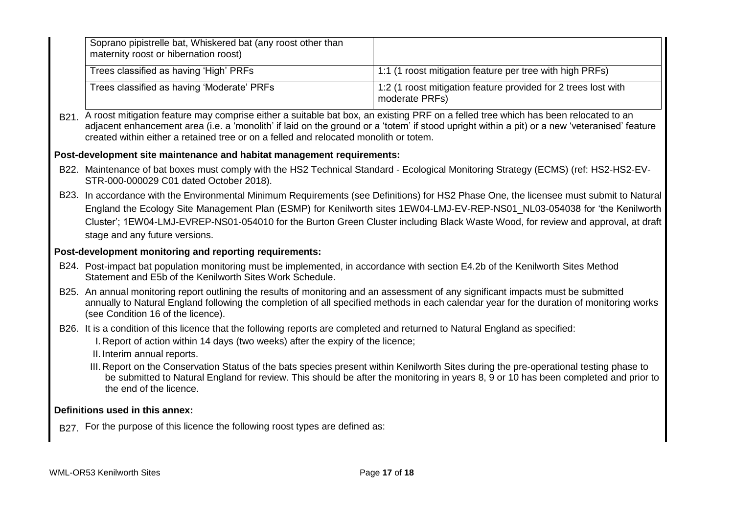| Soprano pipistrelle bat, Whiskered bat (any roost other than<br>maternity roost or hibernation roost)                                                                                                                                                                                                                                                                                                                                       |                                                                                  |  |  |  |  |
|---------------------------------------------------------------------------------------------------------------------------------------------------------------------------------------------------------------------------------------------------------------------------------------------------------------------------------------------------------------------------------------------------------------------------------------------|----------------------------------------------------------------------------------|--|--|--|--|
| Trees classified as having 'High' PRFs                                                                                                                                                                                                                                                                                                                                                                                                      | 1:1 (1 roost mitigation feature per tree with high PRFs)                         |  |  |  |  |
| Trees classified as having 'Moderate' PRFs                                                                                                                                                                                                                                                                                                                                                                                                  | 1:2 (1 roost mitigation feature provided for 2 trees lost with<br>moderate PRFs) |  |  |  |  |
| B21. A roost mitigation feature may comprise either a suitable bat box, an existing PRF on a felled tree which has been relocated to an<br>adjacent enhancement area (i.e. a 'monolith' if laid on the ground or a 'totem' if stood upright within a pit) or a new 'veteranised' feature<br>created within either a retained tree or on a felled and relocated monolith or totem.                                                           |                                                                                  |  |  |  |  |
| Post-development site maintenance and habitat management requirements:                                                                                                                                                                                                                                                                                                                                                                      |                                                                                  |  |  |  |  |
| B22. Maintenance of bat boxes must comply with the HS2 Technical Standard - Ecological Monitoring Strategy (ECMS) (ref: HS2-HS2-EV-<br>STR-000-000029 C01 dated October 2018).                                                                                                                                                                                                                                                              |                                                                                  |  |  |  |  |
| B23. In accordance with the Environmental Minimum Requirements (see Definitions) for HS2 Phase One, the licensee must submit to Natural<br>England the Ecology Site Management Plan (ESMP) for Kenilworth sites 1EW04-LMJ-EV-REP-NS01_NL03-054038 for 'the Kenilworth<br>Cluster'; 1EW04-LMJ-EVREP-NS01-054010 for the Burton Green Cluster including Black Waste Wood, for review and approval, at draft<br>stage and any future versions. |                                                                                  |  |  |  |  |
| Post-development monitoring and reporting requirements:                                                                                                                                                                                                                                                                                                                                                                                     |                                                                                  |  |  |  |  |
| B24. Post-impact bat population monitoring must be implemented, in accordance with section E4.2b of the Kenilworth Sites Method<br>Statement and E5b of the Kenilworth Sites Work Schedule.                                                                                                                                                                                                                                                 |                                                                                  |  |  |  |  |
| B25. An annual monitoring report outlining the results of monitoring and an assessment of any significant impacts must be submitted<br>annually to Natural England following the completion of all specified methods in each calendar year for the duration of monitoring works<br>(see Condition 16 of the licence).                                                                                                                       |                                                                                  |  |  |  |  |
| B26. It is a condition of this licence that the following reports are completed and returned to Natural England as specified:<br>I. Report of action within 14 days (two weeks) after the expiry of the licence;                                                                                                                                                                                                                            |                                                                                  |  |  |  |  |
| II. Interim annual reports.<br>III. Report on the Conservation Status of the bats species present within Kenilworth Sites during the pre-operational testing phase to<br>be submitted to Natural England for review. This should be after the monitoring in years 8, 9 or 10 has been completed and prior to<br>the end of the licence.                                                                                                     |                                                                                  |  |  |  |  |
| Definitions used in this annex:                                                                                                                                                                                                                                                                                                                                                                                                             |                                                                                  |  |  |  |  |
| B27. For the purpose of this licence the following roost types are defined as:                                                                                                                                                                                                                                                                                                                                                              |                                                                                  |  |  |  |  |
|                                                                                                                                                                                                                                                                                                                                                                                                                                             |                                                                                  |  |  |  |  |